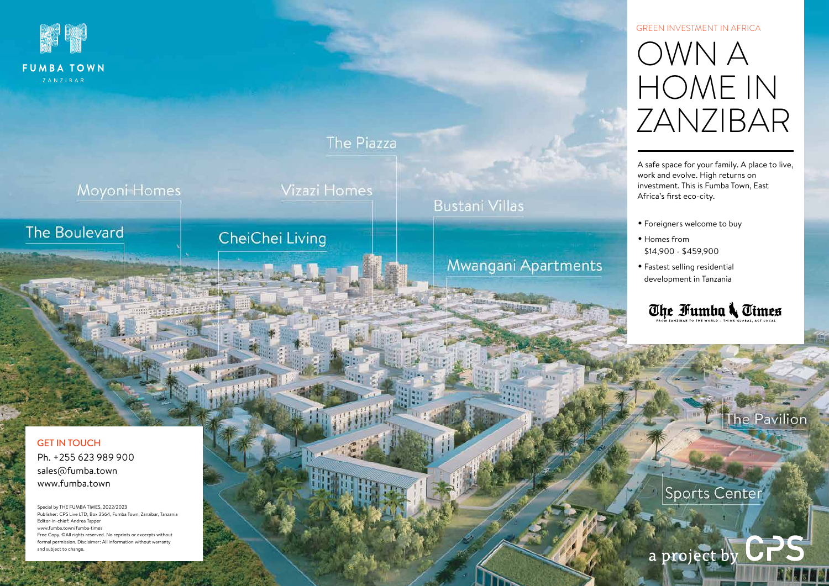

### **FUMBA TOWN** ZANZIBAR

## **The Piazza**

問.

Moyoni Homes

Vizazi Homes

# The Boulevard

# CheiChei Living

**Mwangani Apartments** 

**Bustani Villas** 

sales@fumba.town Ph. +255 623 989 900 www.fumba.town GET IN TOUCH

Special by THE FUMBA TIMES, 2022/2023 Publisher: CPS Live LTD, Box 3564, Fumba Town, Zanzibar, Tanzania Editor-in-chief: Andrea Tapper www.fumba.town/fumba-times Free Copy. ©All rights reserved. No reprints or excerpts without formal permission. Disclaimer: All information without warranty and subject to change.

A safe space for your family. A place to live, work and evolve. High returns on investment. This is Fumba Town, East Africa's first eco-city.

- Foreigners welcome to buy
- Homes from \$14,900 - \$459,900
- Fastest selling residential development in Tanzania



Sports Center

a project by CPS

he Pavilion

# OWN A HOME IN ZANZIBAR GreEN Investment in Africa